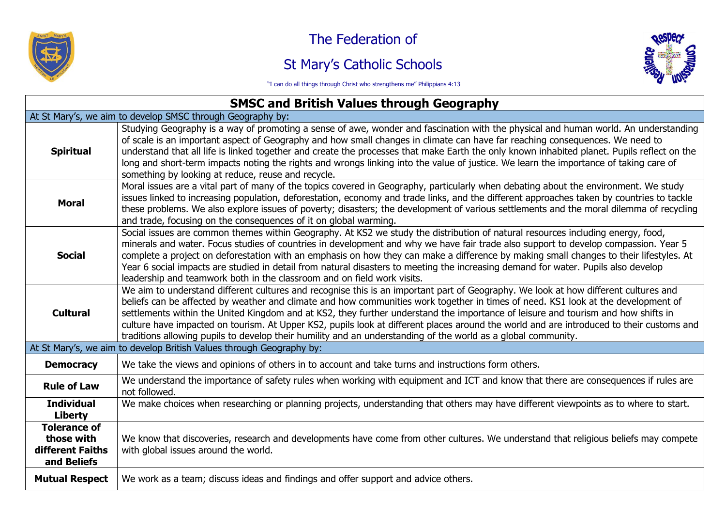

The Federation of

## St Mary's Catholic Schools



"I can do all things through Christ who strengthens me" Philippians 4:13

## **SMSC and British Values through Geography**

| At St Mary's, we aim to develop SMSC through Geography by:           |                                                                                                                                                                                                                                                                                                                                                                                                                                                                                                                                                                                                                                                                            |
|----------------------------------------------------------------------|----------------------------------------------------------------------------------------------------------------------------------------------------------------------------------------------------------------------------------------------------------------------------------------------------------------------------------------------------------------------------------------------------------------------------------------------------------------------------------------------------------------------------------------------------------------------------------------------------------------------------------------------------------------------------|
| <b>Spiritual</b>                                                     | Studying Geography is a way of promoting a sense of awe, wonder and fascination with the physical and human world. An understanding<br>of scale is an important aspect of Geography and how small changes in climate can have far reaching consequences. We need to<br>understand that all life is linked together and create the processes that make Earth the only known inhabited planet. Pupils reflect on the<br>long and short-term impacts noting the rights and wrongs linking into the value of justice. We learn the importance of taking care of<br>something by looking at reduce, reuse and recycle.                                                          |
| <b>Moral</b>                                                         | Moral issues are a vital part of many of the topics covered in Geography, particularly when debating about the environment. We study<br>issues linked to increasing population, deforestation, economy and trade links, and the different approaches taken by countries to tackle<br>these problems. We also explore issues of poverty; disasters; the development of various settlements and the moral dilemma of recycling<br>and trade, focusing on the consequences of it on global warming.                                                                                                                                                                           |
| <b>Social</b>                                                        | Social issues are common themes within Geography. At KS2 we study the distribution of natural resources including energy, food,<br>minerals and water. Focus studies of countries in development and why we have fair trade also support to develop compassion. Year 5<br>complete a project on deforestation with an emphasis on how they can make a difference by making small changes to their lifestyles. At<br>Year 6 social impacts are studied in detail from natural disasters to meeting the increasing demand for water. Pupils also develop<br>leadership and teamwork both in the classroom and on field work visits.                                          |
| <b>Cultural</b>                                                      | We aim to understand different cultures and recognise this is an important part of Geography. We look at how different cultures and<br>beliefs can be affected by weather and climate and how communities work together in times of need. KS1 look at the development of<br>settlements within the United Kingdom and at KS2, they further understand the importance of leisure and tourism and how shifts in<br>culture have impacted on tourism. At Upper KS2, pupils look at different places around the world and are introduced to their customs and<br>traditions allowing pupils to develop their humility and an understanding of the world as a global community. |
| At St Mary's, we aim to develop British Values through Geography by: |                                                                                                                                                                                                                                                                                                                                                                                                                                                                                                                                                                                                                                                                            |
| <b>Democracy</b>                                                     | We take the views and opinions of others in to account and take turns and instructions form others.                                                                                                                                                                                                                                                                                                                                                                                                                                                                                                                                                                        |
| <b>Rule of Law</b>                                                   | We understand the importance of safety rules when working with equipment and ICT and know that there are consequences if rules are<br>not followed.                                                                                                                                                                                                                                                                                                                                                                                                                                                                                                                        |
| <b>Individual</b><br>Liberty                                         | We make choices when researching or planning projects, understanding that others may have different viewpoints as to where to start.                                                                                                                                                                                                                                                                                                                                                                                                                                                                                                                                       |
| <b>Tolerance of</b><br>those with<br>different Faiths<br>and Beliefs | We know that discoveries, research and developments have come from other cultures. We understand that religious beliefs may compete<br>with global issues around the world.                                                                                                                                                                                                                                                                                                                                                                                                                                                                                                |
| <b>Mutual Respect</b>                                                | We work as a team; discuss ideas and findings and offer support and advice others.                                                                                                                                                                                                                                                                                                                                                                                                                                                                                                                                                                                         |